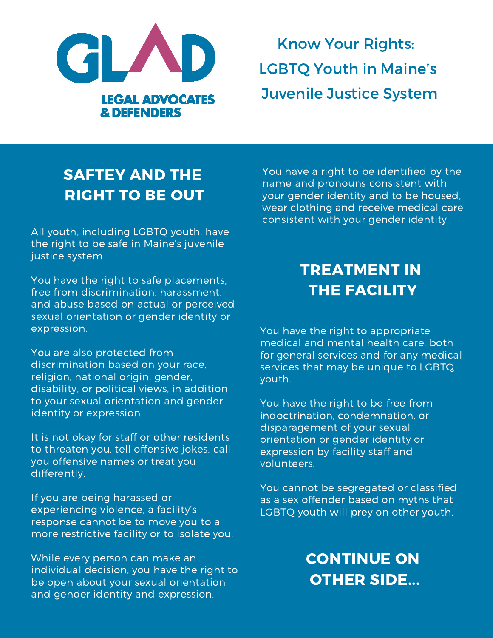

Know Your Rights: LGBTQ Youth in Maine's Juvenile Justice System

## SAFTEY AND THE RIGHT TO BE OUT

All youth, including LGBTQ youth, have the right to be safe in Maine's juvenile justice system.

You have the right to safe placements, free from discrimination, harassment, and abuse based on actual or perceived sexual orientation or gender identity or expression.

You are also protected from discrimination based on your race, religion, national origin, gender, disability, or political views, in addition to your sexual orientation and gender identity or expression.

It is not okay for staff or other residents to threaten you, tell offensive jokes, call you offensive names or treat you differently.

If you are being harassed or experiencing violence, a facility's response cannot be to move you to a more restrictive facility or to isolate you.

While every person can make an individual decision, you have the right to be open about your sexual orientation and gender identity and expression.

You have a right to be identified by the name and pronouns consistent with your gender identity and to be housed, wear clothing and receive medical care consistent with your gender identity.

# TREATMENT IN THE FACILITY

You have the right to appropriate medical and mental health care, both for general services and for any medical services that may be unique to LGBTQ youth.

You have the right to be free from indoctrination, condemnation, or disparagement of your sexual orientation or gender identity or expression by facility staff and volunteers.

You cannot be segregated or classified as a sex offender based on myths that LGBTQ youth will prey on other youth.

## CONTINUE ON OTHER SIDE...